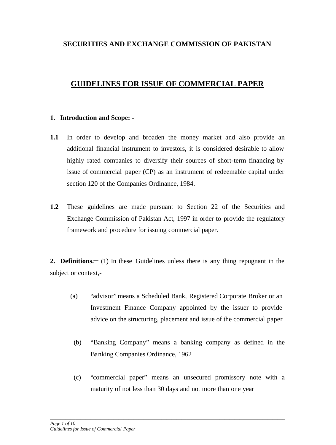# **SECURITIES AND EXCHANGE COMMISSION OF PAKISTAN**

# **GUIDELINES FOR ISSUE OF COMMERCIAL PAPER**

### **1. Introduction and Scope: -**

- **1.1** In order to develop and broaden the money market and also provide an additional financial instrument to investors, it is considered desirable to allow highly rated companies to diversify their sources of short-term financing by issue of commercial paper (CP) as an instrument of redeemable capital under section 120 of the Companies Ordinance, 1984.
- **1.2** These guidelines are made pursuant to Section 22 of the Securities and Exchange Commission of Pakistan Act, 1997 in order to provide the regulatory framework and procedure for issuing commercial paper.

**2. Definitions.\_\_** (1) In these Guidelines unless there is any thing repugnant in the subject or context,-

- (a) "advisor" means a Scheduled Bank, Registered Corporate Broker or an Investment Finance Company appointed by the issuer to provide advice on the structuring, placement and issue of the commercial paper
	- (b) "Banking Company" means a banking company as defined in the Banking Companies Ordinance, 1962
	- (c) "commercial paper" means an unsecured promissory note with a maturity of not less than 30 days and not more than one year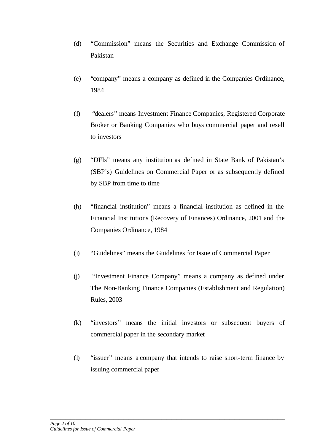- (d) "Commission" means the Securities and Exchange Commission of Pakistan
- (e) "company" means a company as defined in the Companies Ordinance, 1984
- (f) "dealers" means Investment Finance Companies, Registered Corporate Broker or Banking Companies who buys commercial paper and resell to investors
- (g) "DFIs" means any institution as defined in State Bank of Pakistan's (SBP's) Guidelines on Commercial Paper or as subsequently defined by SBP from time to time
- (h) "financial institution" means a financial institution as defined in the Financial Institutions (Recovery of Finances) Ordinance, 2001 and the Companies Ordinance, 1984
- (i) "Guidelines" means the Guidelines for Issue of Commercial Paper
- (j) "Investment Finance Company" means a company as defined under The Non-Banking Finance Companies (Establishment and Regulation) Rules, 2003
- (k) "investors" means the initial investors or subsequent buyers of commercial paper in the secondary market
- (l) "issuer" means a company that intends to raise short-term finance by issuing commercial paper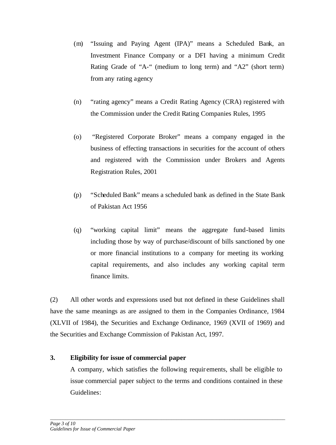- (m) "Issuing and Paying Agent (IPA)" means a Scheduled Bank, an Investment Finance Company or a DFI having a minimum Credit Rating Grade of "A-" (medium to long term) and "A2" (short term) from any rating agency
- (n) "rating agency" means a Credit Rating Agency (CRA) registered with the Commission under the Credit Rating Companies Rules, 1995
- (o) "Registered Corporate Broker" means a company engaged in the business of effecting transactions in securities for the account of others and registered with the Commission under Brokers and Agents Registration Rules, 2001
- (p) "Scheduled Bank" means a scheduled bank as defined in the State Bank of Pakistan Act 1956
- (q) "working capital limit" means the aggregate fund-based limits including those by way of purchase/discount of bills sanctioned by one or more financial institutions to a company for meeting its working capital requirements, and also includes any working capital term finance limits.

(2) All other words and expressions used but not defined in these Guidelines shall have the same meanings as are assigned to them in the Companies Ordinance, 1984 (XLVII of 1984), the Securities and Exchange Ordinance, 1969 (XVII of 1969) and the Securities and Exchange Commission of Pakistan Act, 1997.

# **3. Eligibility for issue of commercial paper**

A company, which satisfies the following requir ements, shall be eligible to issue commercial paper subject to the terms and conditions contained in these Guidelines: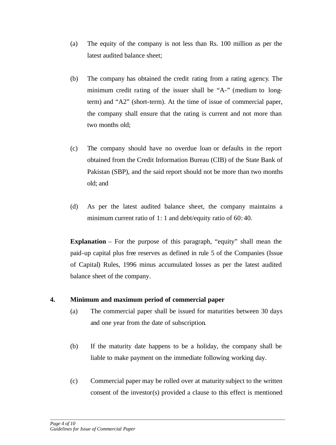- (a) The equity of the company is not less than Rs. 100 million as per the latest audited balance sheet;
- (b) The company has obtained the credit rating from a rating agency. The minimum credit rating of the issuer shall be "A-" (medium to longterm) and "A2" (short-term). At the time of issue of commercial paper, the company shall ensure that the rating is current and not more than two months old;
- (c) The company should have no overdue loan or defaults in the report obtained from the Credit Information Bureau (CIB) of the State Bank of Pakistan (SBP), and the said report should not be more than two months old; and
- (d) As per the latest audited balance sheet, the company maintains a minimum current ratio of 1:1 and debt/equity ratio of 60:40.

**Explanation** – For the purpose of this paragraph, "equity" shall mean the paid-up capital plus free reserves as defined in rule 5 of the Companies (Issue of Capital) Rules, 1996 minus accumulated losses as per the latest audited balance sheet of the company.

### **4. Minimum and maximum period of commercial paper**

- (a) The commercial paper shall be issued for maturities between 30 days and one year from the date of subscription.
- (b) If the maturity date happens to be a holiday, the company shall be liable to make payment on the immediate following working day.
- (c) Commercial paper may be rolled over at maturity subject to the written consent of the investor(s) provided a clause to this effect is mentioned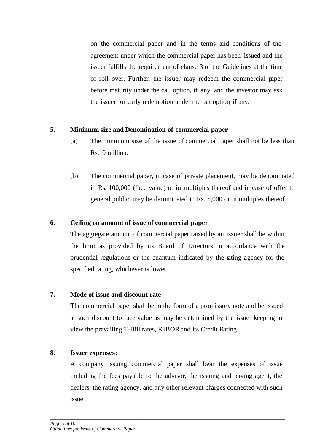on the commercial paper and in the terms and conditions of the agreement under which the commercial paper has been issued and the issuer fulfills the requirement of clause 3 of the Guidelines at the time of roll over. Further, the issuer may redeem the commercial paper before maturity under the call option, if any, and the investor may ask the issuer for early redemption under the put option, if any.

### **5. Minimum size and Denomination of commercial paper**

- (a) The minimum size of the issue of commercial paper shall not be less than Rs.10 million.
- (b) The commercial paper, in case of private placement, may be denominated in Rs. 100,000 (face value) or in multiples thereof and in case of offer to general public, may be denominated in Rs. 5,000 or in multiples thereof.

# **6. Ceiling on amount of issue of commercial paper**

The aggregate amount of commercial paper raised by an issuer shall be within the limit as provided by its Board of Directors in accordance with the prudential regulations or the quantum indicated by the rating agency for the specified rating, whichever is lower.

# **7. Mode of issue and discount rate**

The commercial paper shall be in the form of a promissory note and be issued at such discount to face value as may be determined by the issuer keeping in view the prevailing T-Bill rates, KIBORand its Credit Rating.

### **8. Issuer expenses:**

A company issuing commercial paper shall bear the expenses of issue including the fees payable to the advisor, the issuing and paying agent, the dealers, the rating agency, and any other relevant charges connected with such issue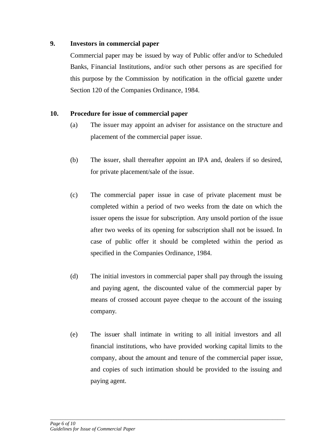### **9. Investors in commercial paper**

Commercial paper may be issued by way of Public offer and/or to Scheduled Banks, Financial Institutions, and/or such other persons as are specified for this purpose by the Commission by notification in the official gazette under Section 120 of the Companies Ordinance, 1984.

# **10. Procedure for issue of commercial paper**

- (a) The issuer may appoint an adviser for assistance on the structure and placement of the commercial paper issue.
- (b) The issuer, shall thereafter appoint an IPA and, dealers if so desired, for private placement/sale of the issue.
- (c) The commercial paper issue in case of private placement must be completed within a period of two weeks from the date on which the issuer opens the issue for subscription. Any unsold portion of the issue after two weeks of its opening for subscription shall not be issued. In case of public offer it should be completed within the period as specified in the Companies Ordinance, 1984.
- (d) The initial investors in commercial paper shall pay through the issuing and paying agent, the discounted value of the commercial paper by means of crossed account payee cheque to the account of the issuing company.
- (e) The issuer shall intimate in writing to all initial investors and all financial institutions, who have provided working capital limits to the company, about the amount and tenure of the commercial paper issue, and copies of such intimation should be provided to the issuing and paying agent.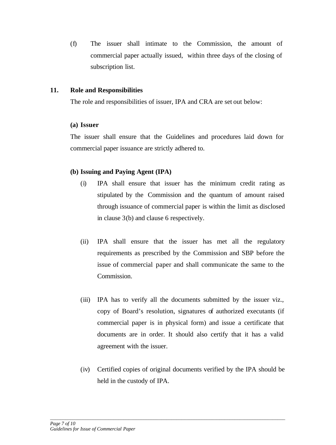(f) The issuer shall intimate to the Commission, the amount of commercial paper actually issued, within three days of the closing of subscription list.

### **11. Role and Responsibilities**

The role and responsibilities of issuer, IPA and CRA are set out below:

### **(a) Issuer**

The issuer shall ensure that the Guidelines and procedures laid down for commercial paper issuance are strictly adhered to.

# **(b) Issuing and Paying Agent (IPA)**

- (i) IPA shall ensure that issuer has the minimum credit rating as stipulated by the Commission and the quantum of amount raised through issuance of commercial paper is within the limit as disclosed in clause 3(b) and clause 6 respectively.
- (ii) IPA shall ensure that the issuer has met all the regulatory requirements as prescribed by the Commission and SBP before the issue of commercial paper and shall communicate the same to the Commission.
- (iii) IPA has to verify all the documents submitted by the issuer viz., copy of Board's resolution, signatures of authorized executants (if commercial paper is in physical form) and issue a certificate that documents are in order. It should also certify that it has a valid agreement with the issuer.
- (iv) Certified copies of original documents verified by the IPA should be held in the custody of IPA.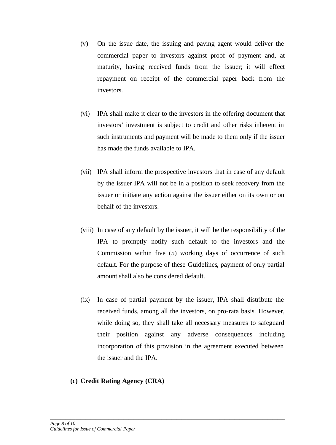- (v) On the issue date, the issuing and paying agent would deliver the commercial paper to investors against proof of payment and, at maturity, having received funds from the issuer; it will effect repayment on receipt of the commercial paper back from the investors.
- (vi) IPA shall make it clear to the investors in the offering document that investors' investment is subject to credit and other risks inherent in such instruments and payment will be made to them only if the issuer has made the funds available to IPA.
- (vii) IPA shall inform the prospective investors that in case of any default by the issuer IPA will not be in a position to seek recovery from the issuer or initiate any action against the issuer either on its own or on behalf of the investors.
- (viii) In case of any default by the issuer, it will be the responsibility of the IPA to promptly notify such default to the investors and the Commission within five (5) working days of occurrence of such default. For the purpose of these Guidelines, payment of only partial amount shall also be considered default.
- (ix) In case of partial payment by the issuer, IPA shall distribute the received funds, among all the investors, on pro-rata basis. However, while doing so, they shall take all necessary measures to safeguard their position against any adverse consequences including incorporation of this provision in the agreement executed between the issuer and the IPA.

*\_\_\_\_\_\_\_\_\_\_\_\_\_\_\_\_\_\_\_\_\_\_\_\_\_\_\_\_\_\_\_\_\_\_\_\_\_\_\_\_\_\_\_\_\_\_\_\_\_\_\_\_\_\_\_\_\_\_\_\_\_\_\_\_\_\_\_\_\_\_\_\_\_\_\_\_\_\_\_\_\_\_\_\_\_\_\_\_\_\_\_\_\_*

# **(c) Credit Rating Agency (CRA)**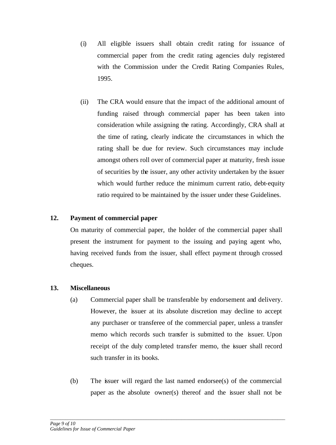- (i) All eligible issuers shall obtain credit rating for issuance of commercial paper from the credit rating agencies duly registered with the Commission under the Credit Rating Companies Rules, 1995.
- (ii) The CRA would ensure that the impact of the additional amount of funding raised through commercial paper has been taken into consideration while assigning the rating. Accordingly, CRA shall at the time of rating, clearly indicate the circumstances in which the rating shall be due for review. Such circumstances may include amongst others roll over of commercial paper at maturity, fresh issue of securities by the issuer, any other activity undertaken by the issuer which would further reduce the minimum current ratio, debt-equity ratio required to be maintained by the issuer under these Guidelines.

# **12. Payment of commercial paper**

On maturity of commercial paper, the holder of the commercial paper shall present the instrument for payment to the issuing and paying agent who, having received funds from the issuer, shall effect payment through crossed cheques.

# **13. Miscellaneous**

- (a) Commercial paper shall be transferable by endorsement and delivery. However, the issuer at its absolute discretion may decline to accept any purchaser or transferee of the commercial paper, unless a transfer memo which records such transfer is submitted to the issuer. Upon receipt of the duly completed transfer memo, the issuer shall record such transfer in its books.
- (b) The issuer will regard the last named endorsee(s) of the commercial paper as the absolute owner(s) thereof and the issuer shall not be